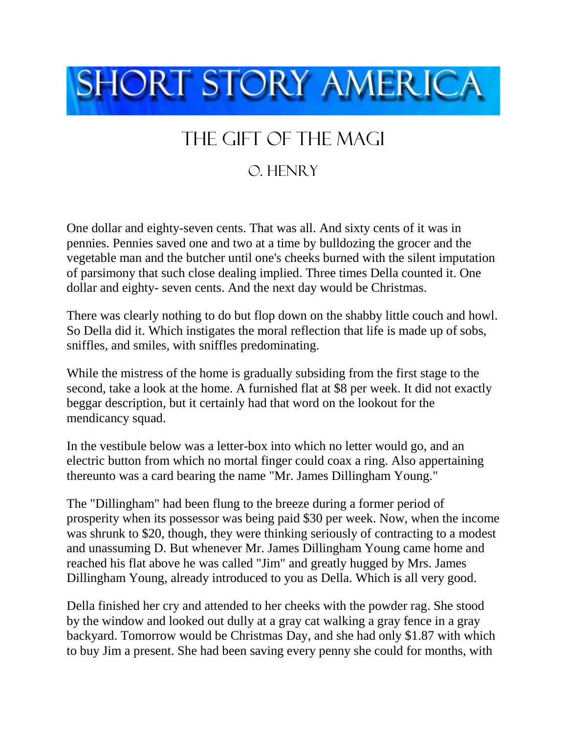

## The Gift of the Magi

## O. Henry

One dollar and eighty-seven cents. That was all. And sixty cents of it was in pennies. Pennies saved one and two at a time by bulldozing the grocer and the vegetable man and the butcher until one's cheeks burned with the silent imputation of parsimony that such close dealing implied. Three times Della counted it. One dollar and eighty- seven cents. And the next day would be Christmas.

There was clearly nothing to do but flop down on the shabby little couch and howl. So Della did it. Which instigates the moral reflection that life is made up of sobs, sniffles, and smiles, with sniffles predominating.

While the mistress of the home is gradually subsiding from the first stage to the second, take a look at the home. A furnished flat at \$8 per week. It did not exactly beggar description, but it certainly had that word on the lookout for the mendicancy squad.

In the vestibule below was a letter-box into which no letter would go, and an electric button from which no mortal finger could coax a ring. Also appertaining thereunto was a card bearing the name "Mr. James Dillingham Young."

The "Dillingham" had been flung to the breeze during a former period of prosperity when its possessor was being paid \$30 per week. Now, when the income was shrunk to \$20, though, they were thinking seriously of contracting to a modest and unassuming D. But whenever Mr. James Dillingham Young came home and reached his flat above he was called "Jim" and greatly hugged by Mrs. James Dillingham Young, already introduced to you as Della. Which is all very good.

Della finished her cry and attended to her cheeks with the powder rag. She stood by the window and looked out dully at a gray cat walking a gray fence in a gray backyard. Tomorrow would be Christmas Day, and she had only \$1.87 with which to buy Jim a present. She had been saving every penny she could for months, with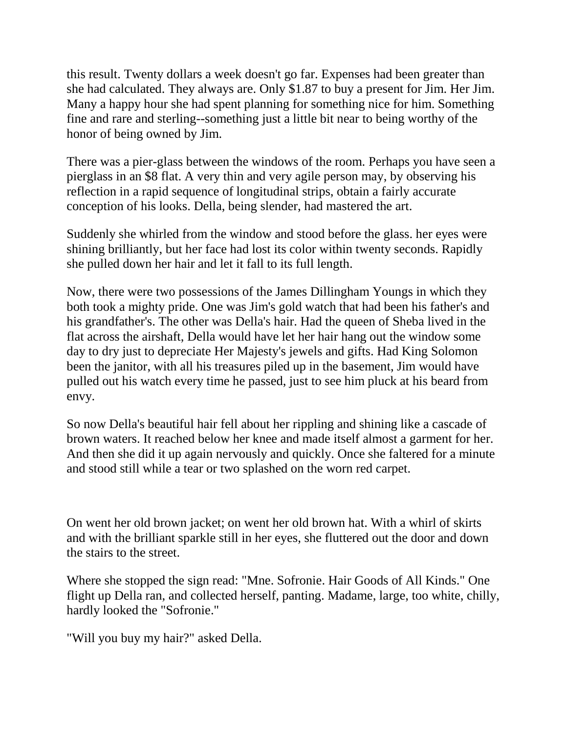this result. Twenty dollars a week doesn't go far. Expenses had been greater than she had calculated. They always are. Only \$1.87 to buy a present for Jim. Her Jim. Many a happy hour she had spent planning for something nice for him. Something fine and rare and sterling--something just a little bit near to being worthy of the honor of being owned by Jim.

There was a pier-glass between the windows of the room. Perhaps you have seen a pierglass in an \$8 flat. A very thin and very agile person may, by observing his reflection in a rapid sequence of longitudinal strips, obtain a fairly accurate conception of his looks. Della, being slender, had mastered the art.

Suddenly she whirled from the window and stood before the glass. her eyes were shining brilliantly, but her face had lost its color within twenty seconds. Rapidly she pulled down her hair and let it fall to its full length.

Now, there were two possessions of the James Dillingham Youngs in which they both took a mighty pride. One was Jim's gold watch that had been his father's and his grandfather's. The other was Della's hair. Had the queen of Sheba lived in the flat across the airshaft, Della would have let her hair hang out the window some day to dry just to depreciate Her Majesty's jewels and gifts. Had King Solomon been the janitor, with all his treasures piled up in the basement, Jim would have pulled out his watch every time he passed, just to see him pluck at his beard from envy.

So now Della's beautiful hair fell about her rippling and shining like a cascade of brown waters. It reached below her knee and made itself almost a garment for her. And then she did it up again nervously and quickly. Once she faltered for a minute and stood still while a tear or two splashed on the worn red carpet.

On went her old brown jacket; on went her old brown hat. With a whirl of skirts and with the brilliant sparkle still in her eyes, she fluttered out the door and down the stairs to the street.

Where she stopped the sign read: "Mne. Sofronie. Hair Goods of All Kinds." One flight up Della ran, and collected herself, panting. Madame, large, too white, chilly, hardly looked the "Sofronie."

"Will you buy my hair?" asked Della.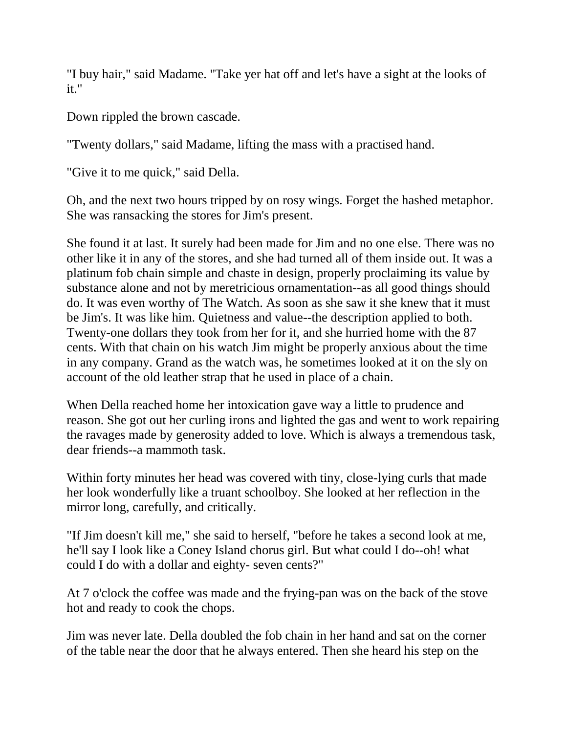"I buy hair," said Madame. "Take yer hat off and let's have a sight at the looks of it."

Down rippled the brown cascade.

"Twenty dollars," said Madame, lifting the mass with a practised hand.

"Give it to me quick," said Della.

Oh, and the next two hours tripped by on rosy wings. Forget the hashed metaphor. She was ransacking the stores for Jim's present.

She found it at last. It surely had been made for Jim and no one else. There was no other like it in any of the stores, and she had turned all of them inside out. It was a platinum fob chain simple and chaste in design, properly proclaiming its value by substance alone and not by meretricious ornamentation--as all good things should do. It was even worthy of The Watch. As soon as she saw it she knew that it must be Jim's. It was like him. Quietness and value--the description applied to both. Twenty-one dollars they took from her for it, and she hurried home with the 87 cents. With that chain on his watch Jim might be properly anxious about the time in any company. Grand as the watch was, he sometimes looked at it on the sly on account of the old leather strap that he used in place of a chain.

When Della reached home her intoxication gave way a little to prudence and reason. She got out her curling irons and lighted the gas and went to work repairing the ravages made by generosity added to love. Which is always a tremendous task, dear friends--a mammoth task.

Within forty minutes her head was covered with tiny, close-lying curls that made her look wonderfully like a truant schoolboy. She looked at her reflection in the mirror long, carefully, and critically.

"If Jim doesn't kill me," she said to herself, "before he takes a second look at me, he'll say I look like a Coney Island chorus girl. But what could I do--oh! what could I do with a dollar and eighty- seven cents?"

At 7 o'clock the coffee was made and the frying-pan was on the back of the stove hot and ready to cook the chops.

Jim was never late. Della doubled the fob chain in her hand and sat on the corner of the table near the door that he always entered. Then she heard his step on the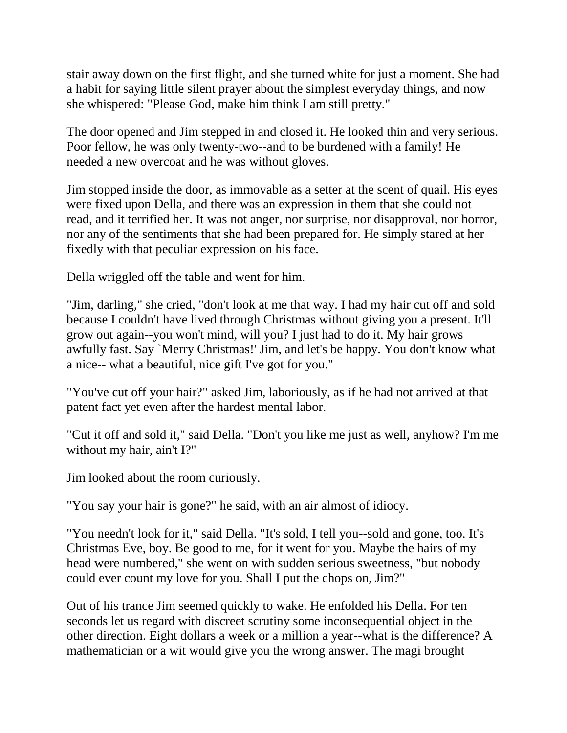stair away down on the first flight, and she turned white for just a moment. She had a habit for saying little silent prayer about the simplest everyday things, and now she whispered: "Please God, make him think I am still pretty."

The door opened and Jim stepped in and closed it. He looked thin and very serious. Poor fellow, he was only twenty-two--and to be burdened with a family! He needed a new overcoat and he was without gloves.

Jim stopped inside the door, as immovable as a setter at the scent of quail. His eyes were fixed upon Della, and there was an expression in them that she could not read, and it terrified her. It was not anger, nor surprise, nor disapproval, nor horror, nor any of the sentiments that she had been prepared for. He simply stared at her fixedly with that peculiar expression on his face.

Della wriggled off the table and went for him.

"Jim, darling," she cried, "don't look at me that way. I had my hair cut off and sold because I couldn't have lived through Christmas without giving you a present. It'll grow out again--you won't mind, will you? I just had to do it. My hair grows awfully fast. Say `Merry Christmas!' Jim, and let's be happy. You don't know what a nice-- what a beautiful, nice gift I've got for you."

"You've cut off your hair?" asked Jim, laboriously, as if he had not arrived at that patent fact yet even after the hardest mental labor.

"Cut it off and sold it," said Della. "Don't you like me just as well, anyhow? I'm me without my hair, ain't I?"

Jim looked about the room curiously.

"You say your hair is gone?" he said, with an air almost of idiocy.

"You needn't look for it," said Della. "It's sold, I tell you--sold and gone, too. It's Christmas Eve, boy. Be good to me, for it went for you. Maybe the hairs of my head were numbered," she went on with sudden serious sweetness, "but nobody could ever count my love for you. Shall I put the chops on, Jim?"

Out of his trance Jim seemed quickly to wake. He enfolded his Della. For ten seconds let us regard with discreet scrutiny some inconsequential object in the other direction. Eight dollars a week or a million a year--what is the difference? A mathematician or a wit would give you the wrong answer. The magi brought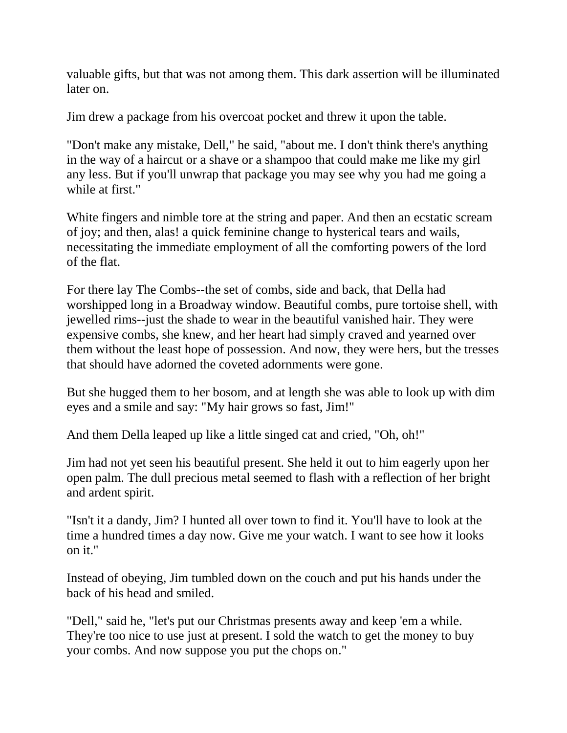valuable gifts, but that was not among them. This dark assertion will be illuminated later on.

Jim drew a package from his overcoat pocket and threw it upon the table.

"Don't make any mistake, Dell," he said, "about me. I don't think there's anything in the way of a haircut or a shave or a shampoo that could make me like my girl any less. But if you'll unwrap that package you may see why you had me going a while at first."

White fingers and nimble tore at the string and paper. And then an ecstatic scream of joy; and then, alas! a quick feminine change to hysterical tears and wails, necessitating the immediate employment of all the comforting powers of the lord of the flat.

For there lay The Combs--the set of combs, side and back, that Della had worshipped long in a Broadway window. Beautiful combs, pure tortoise shell, with jewelled rims--just the shade to wear in the beautiful vanished hair. They were expensive combs, she knew, and her heart had simply craved and yearned over them without the least hope of possession. And now, they were hers, but the tresses that should have adorned the coveted adornments were gone.

But she hugged them to her bosom, and at length she was able to look up with dim eyes and a smile and say: "My hair grows so fast, Jim!"

And them Della leaped up like a little singed cat and cried, "Oh, oh!"

Jim had not yet seen his beautiful present. She held it out to him eagerly upon her open palm. The dull precious metal seemed to flash with a reflection of her bright and ardent spirit.

"Isn't it a dandy, Jim? I hunted all over town to find it. You'll have to look at the time a hundred times a day now. Give me your watch. I want to see how it looks on it."

Instead of obeying, Jim tumbled down on the couch and put his hands under the back of his head and smiled.

"Dell," said he, "let's put our Christmas presents away and keep 'em a while. They're too nice to use just at present. I sold the watch to get the money to buy your combs. And now suppose you put the chops on."